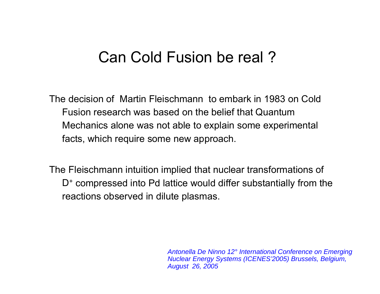## Can Cold Fusion be real ?

The decision of Martin Fleischmann to embark in 1983 on Cold Fusion research was based on the belief that Quantum Mechanics alone was not able to explain some experimental facts, which require some new approach.

The Fleischmann intuition implied that nuclear transformations of D + compressed into Pd lattice would differ substantially from the reactions observed in dilute plasmas.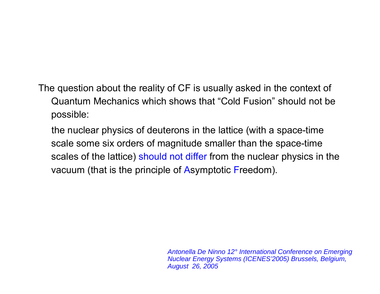The question about the reality of CF is usually asked in the context of Quantum Mechanics which shows that "Cold Fusion" should not be possible:

the nuclear physics of deuterons in the lattice (with a space-time scale some six orders of magnitude smaller than the space-time scales of the lattice) should not differ from the nuclear physics in the vacuum (that is the principle of Asymptotic Freedom).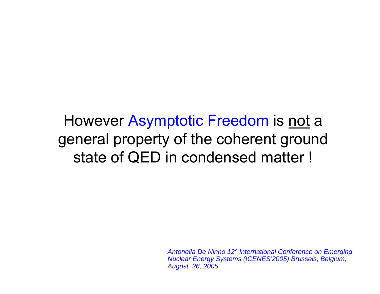However Asymptotic Freedom is not a general property of the coherent ground state of QED in condensed matter !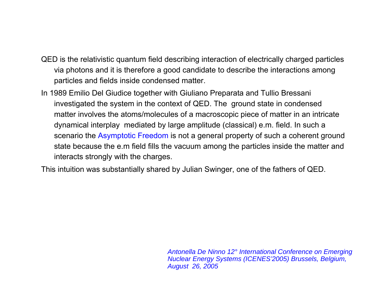- QED is the relativistic quantum field describing interaction of electrically charged particles via photons and it is therefore a good candidate to describe the interactions among particles and fields inside condensed matter.
- In 1989 Emilio Del Giudice together with Giuliano Preparata and Tullio Bressani investigated the system in the context of QED. The ground state in condensed matter involves the atoms/molecules of a macroscopic piece of matter in an intricate dynamical interplay mediated by large amplitude (classical) e.m. field. In such a scenario the Asymptotic Freedom is not a general property of such a coherent ground state because the e.m field fills the vacuum among the particles inside the matter and interacts strongly with the charges.

This intuition was substantially shared by Julian Swinger, one of the fathers of QED.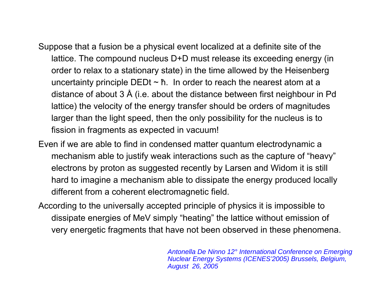- Suppose that a fusion be a physical event localized at a definite site of the lattice. The compound nucleus D+D must release its exceeding energy (in order to relax to a stationary state) in the time allowed by the Heisenberg uncertainty principle DEDt <sup>~</sup> ħ. In order to reach the nearest atom at a distance of about 3 Å (i.e. about the distance between first neighbour in Pd lattice) the velocity of the energy transfer should be orders of magnitudes larger than the light speed, then the only possibility for the nucleus is to fission in fragments as expected in vacuum!
- Even if we are able to find in condensed matter quantum electrodynamic <sup>a</sup> mechanism able to justify weak interactions such as the capture of "heavy" electrons by proton as suggested recently by Larsen and Widom it is still hard to imagine a mechanism able to dissipate the energy produced locally different from a coherent electromagnetic field.
- According to the universally accepted principle of physics it is impossible to dissipate energies of MeV simply "heating" the lattice without emission of very energetic fragments that have not been observed in these phenomena.